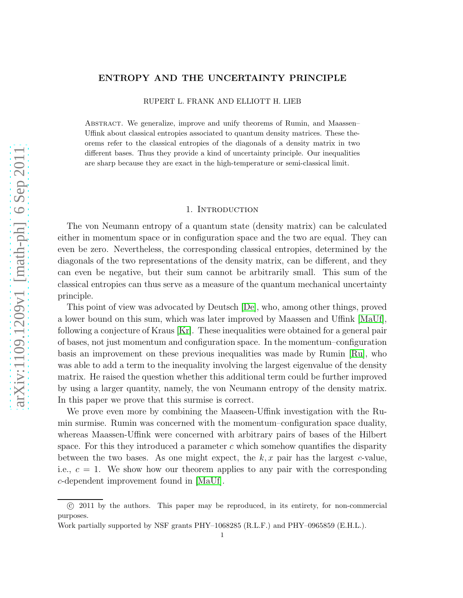## ENTROPY AND THE UNCERTAINTY PRINCIPLE

RUPERT L. FRANK AND ELLIOTT H. LIEB

Abstract. We generalize, improve and unify theorems of Rumin, and Maassen– Uffink about classical entropies associated to quantum density matrices. These theorems refer to the classical entropies of the diagonals of a density matrix in two different bases. Thus they provide a kind of uncertainty principle. Our inequalities are sharp because they are exact in the high-temperature or semi-classical limit.

#### 1. Introduction

The von Neumann entropy of a quantum state (density matrix) can be calculated either in momentum space or in configuration space and the two are equal. They can even be zero. Nevertheless, the corresponding classical entropies, determined by the diagonals of the two representations of the density matrix, can be different, and they can even be negative, but their sum cannot be arbitrarily small. This sum of the classical entropies can thus serve as a measure of the quantum mechanical uncertainty principle.

This point of view was advocated by Deutsch [\[De\]](#page-4-0), who, among other things, proved a lower bound on this sum, which was later improved by Maassen and Uffink [\[MaUf\]](#page-5-0), following a conjecture of Kraus [\[Kr\]](#page-5-1). These inequalities were obtained for a general pair of bases, not just momentum and configuration space. In the momentum–configuration basis an improvement on these previous inequalities was made by Rumin [\[Ru\]](#page-5-2), who was able to add a term to the inequality involving the largest eigenvalue of the density matrix. He raised the question whether this additional term could be further improved by using a larger quantity, namely, the von Neumann entropy of the density matrix. In this paper we prove that this surmise is correct.

We prove even more by combining the Maaseen-Uffink investigation with the Rumin surmise. Rumin was concerned with the momentum–configuration space duality, whereas Maassen-Uffink were concerned with arbitrary pairs of bases of the Hilbert space. For this they introduced a parameter  $c$  which somehow quantifies the disparity between the two bases. As one might expect, the  $k, x$  pair has the largest c-value, i.e.,  $c = 1$ . We show how our theorem applies to any pair with the corresponding c-dependent improvement found in [\[MaUf\]](#page-5-0).

c 2011 by the authors. This paper may be reproduced, in its entirety, for non-commercial purposes.

Work partially supported by NSF grants PHY–1068285 (R.L.F.) and PHY–0965859 (E.H.L.).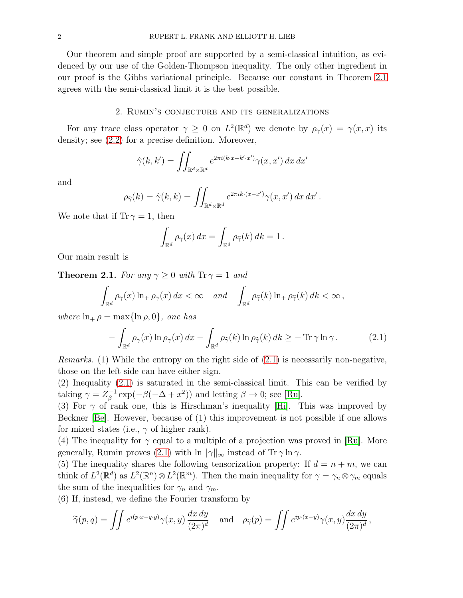Our theorem and simple proof are supported by a semi-classical intuition, as evidenced by our use of the Golden-Thompson inequality. The only other ingredient in our proof is the Gibbs variational principle. Because our constant in Theorem [2.1](#page-1-0) agrees with the semi-classical limit it is the best possible.

## 2. Rumin's conjecture and its generalizations

For any trace class operator  $\gamma \geq 0$  on  $L^2(\mathbb{R}^d)$  we denote by  $\rho_{\gamma}(x) = \gamma(x,x)$  its density; see [\(2.2\)](#page-2-0) for a precise definition. Moreover,

$$
\hat{\gamma}(k,k') = \iint_{\mathbb{R}^d \times \mathbb{R}^d} e^{2\pi i (k \cdot x - k' \cdot x')} \gamma(x,x') \, dx \, dx'
$$

and

$$
\rho_{\widehat{\gamma}}(k) = \widehat{\gamma}(k,k) = \iint_{\mathbb{R}^d \times \mathbb{R}^d} e^{2\pi i k \cdot (x - x')} \gamma(x, x') dx dx'
$$

.

We note that if  $Tr \gamma = 1$ , then

$$
\int_{\mathbb{R}^d} \rho_\gamma(x) \, dx = \int_{\mathbb{R}^d} \rho_{\widehat{\gamma}}(k) \, dk = 1 \, .
$$

Our main result is

<span id="page-1-0"></span>**Theorem 2.1.** For any  $\gamma \geq 0$  with  $\text{Tr } \gamma = 1$  and

$$
\int_{\mathbb{R}^d} \rho_\gamma(x) \ln_+ \rho_\gamma(x) \, dx < \infty \quad \text{and} \quad \int_{\mathbb{R}^d} \rho_{\widehat{\gamma}}(k) \ln_+ \rho_{\widehat{\gamma}}(k) \, dk < \infty \,,
$$

where  $\ln_+ \rho = \max{\ln \rho, 0}$ , one has

<span id="page-1-1"></span>
$$
- \int_{\mathbb{R}^d} \rho_\gamma(x) \ln \rho_\gamma(x) dx - \int_{\mathbb{R}^d} \rho_{\widehat{\gamma}}(k) \ln \rho_{\widehat{\gamma}}(k) dk \geq - \operatorname{Tr} \gamma \ln \gamma.
$$
 (2.1)

*Remarks.* (1) While the entropy on the right side of  $(2.1)$  is necessarily non-negative, those on the left side can have either sign.

(2) Inequality [\(2.1\)](#page-1-1) is saturated in the semi-classical limit. This can be verified by taking  $\gamma = Z_{\beta}^{-1}$  $\beta^{-1} \exp(-\beta(-\Delta + x^2))$  and letting  $\beta \to 0$ ; see [\[Ru\]](#page-5-2).

(3) For  $\gamma$  of rank one, this is Hirschman's inequality [\[Hi\]](#page-4-1). This was improved by Beckner [\[Be\]](#page-4-2). However, because of (1) this improvement is not possible if one allows for mixed states (i.e.,  $\gamma$  of higher rank).

(4) The inequality for  $\gamma$  equal to a multiple of a projection was proved in [\[Ru\]](#page-5-2). More generally, Rumin proves [\(2.1\)](#page-1-1) with  $\ln ||\gamma||_{\infty}$  instead of Tr  $\gamma \ln \gamma$ .

(5) The inequality shares the following tensorization property: If  $d = n + m$ , we can think of  $L^2(\mathbb{R}^d)$  as  $L^2(\mathbb{R}^n) \otimes L^2(\mathbb{R}^m)$ . Then the main inequality for  $\gamma = \gamma_n \otimes \gamma_m$  equals the sum of the inequalities for  $\gamma_n$  and  $\gamma_m$ .

(6) If, instead, we define the Fourier transform by

$$
\widetilde{\gamma}(p,q) = \iint e^{i(p\cdot x - q\cdot y)} \gamma(x,y) \frac{dx\,dy}{(2\pi)^d} \quad \text{and} \quad \rho_{\widetilde{\gamma}}(p) = \iint e^{ip\cdot(x-y)} \gamma(x,y) \frac{dx\,dy}{(2\pi)^d},
$$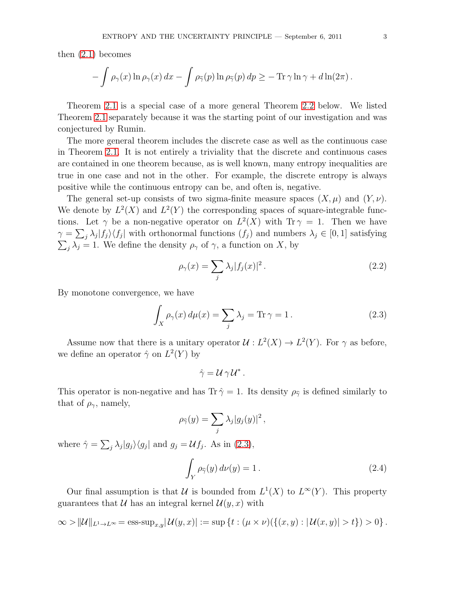then [\(2.1\)](#page-1-1) becomes

$$
- \int \rho_{\gamma}(x) \ln \rho_{\gamma}(x) dx - \int \rho_{\widetilde{\gamma}}(p) \ln \rho_{\widetilde{\gamma}}(p) dp \geq - \operatorname{Tr} \gamma \ln \gamma + d \ln(2\pi).
$$

Theorem [2.1](#page-1-0) is a special case of a more general Theorem [2.2](#page-3-0) below. We listed Theorem [2.1](#page-1-0) separately because it was the starting point of our investigation and was conjectured by Rumin.

The more general theorem includes the discrete case as well as the continuous case in Theorem [2.1.](#page-1-0) It is not entirely a triviality that the discrete and continuous cases are contained in one theorem because, as is well known, many entropy inequalities are true in one case and not in the other. For example, the discrete entropy is always positive while the continuous entropy can be, and often is, negative.

The general set-up consists of two sigma-finite measure spaces  $(X, \mu)$  and  $(Y, \nu)$ . We denote by  $L^2(X)$  and  $L^2(Y)$  the corresponding spaces of square-integrable functions. Let  $\gamma$  be a non-negative operator on  $L^2(X)$  with  $\text{Tr } \gamma = 1$ . Then we have  $\gamma = \sum_j \lambda_j |f_j\rangle\langle f_j|$  with orthonormal functions  $(f_j)$  and numbers  $\lambda_j \in [0, 1]$  satisfying  $\sum_j \lambda_j = 1$ . We define the density  $\rho_\gamma$  of  $\gamma$ , a function on X, by

<span id="page-2-0"></span>
$$
\rho_{\gamma}(x) = \sum_{j} \lambda_j |f_j(x)|^2.
$$
\n(2.2)

By monotone convergence, we have

<span id="page-2-1"></span>
$$
\int_{X} \rho_{\gamma}(x) d\mu(x) = \sum_{j} \lambda_{j} = \text{Tr}\,\gamma = 1.
$$
\n(2.3)

Assume now that there is a unitary operator  $\mathcal{U}: L^2(X) \to L^2(Y)$ . For  $\gamma$  as before, we define an operator  $\hat{\gamma}$  on  $L^2(Y)$  by

$$
\hat{\gamma} = \mathcal{U} \gamma \mathcal{U}^*.
$$

This operator is non-negative and has Tr  $\hat{\gamma} = 1$ . Its density  $\rho_{\hat{\gamma}}$  is defined similarly to that of  $\rho_{\gamma}$ , namely,

$$
\rho_{\widehat{\gamma}}(y) = \sum_j \lambda_j |g_j(y)|^2,
$$

where  $\hat{\gamma} = \sum_j \lambda_j |g_j\rangle\langle g_j|$  and  $g_j = \mathcal{U}f_j$ . As in [\(2.3\)](#page-2-1),

<span id="page-2-2"></span>
$$
\int_{Y} \rho_{\widehat{\gamma}}(y) d\nu(y) = 1.
$$
\n(2.4)

Our final assumption is that U is bounded from  $L^1(X)$  to  $L^{\infty}(Y)$ . This property guarantees that U has an integral kernel  $\mathcal{U}(y, x)$  with

$$
\infty > ||\mathcal{U}||_{L^1 \to L^\infty} = \text{ess-sup}_{x,y} |\mathcal{U}(y,x)| := \sup \{ t : (\mu \times \nu)(\{(x,y) : |\mathcal{U}(x,y)| > t \}) > 0 \}.
$$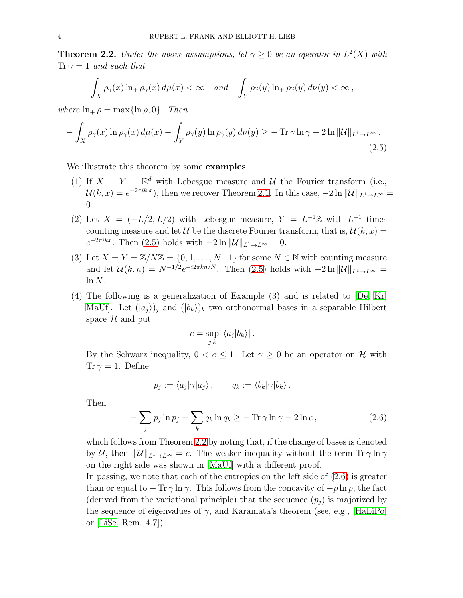<span id="page-3-0"></span>**Theorem 2.2.** Under the above assumptions, let  $\gamma \geq 0$  be an operator in  $L^2(X)$  with  $Tr \gamma = 1$  and such that

$$
\int_X \rho_\gamma(x) \ln_+ \rho_\gamma(x) \, d\mu(x) < \infty \quad \text{and} \quad \int_Y \rho_{\widehat{\gamma}}(y) \ln_+ \rho_{\widehat{\gamma}}(y) \, d\nu(y) < \infty \, ,
$$

where  $\ln_+ \rho = \max\{\ln \rho, 0\}$ . Then

<span id="page-3-1"></span>
$$
- \int_X \rho_\gamma(x) \ln \rho_\gamma(x) d\mu(x) - \int_Y \rho_{\widehat{\gamma}}(y) \ln \rho_{\widehat{\gamma}}(y) d\nu(y) \ge - \operatorname{Tr} \gamma \ln \gamma - 2 \ln \| \mathcal{U} \|_{L^1 \to L^\infty}.
$$
\n(2.5)

We illustrate this theorem by some **examples**.

- (1) If  $X = Y = \mathbb{R}^d$  with Lebesgue measure and U the Fourier transform (i.e.,  $\mathcal{U}(k,x) = e^{-2\pi i k \cdot x}$ , then we recover Theorem [2.1.](#page-1-0) In this case,  $-2 \ln ||\mathcal{U}||_{L^1 \to L^\infty} =$ 0.
- (2) Let  $X = (-L/2, L/2)$  with Lebesgue measure,  $Y = L^{-1}\mathbb{Z}$  with  $L^{-1}$  times counting measure and let U be the discrete Fourier transform, that is,  $\mathcal{U}(k, x) =$  $e^{-2\pi i kx}$ . Then [\(2.5\)](#page-3-1) holds with  $-2 \ln ||\mathcal{U}||_{L^1 \to L^\infty} = 0$ .
- (3) Let  $X = Y = \mathbb{Z}/N\mathbb{Z} = \{0, 1, \ldots, N-1\}$  for some  $N \in \mathbb{N}$  with counting measure and let  $\mathcal{U}(k,n) = N^{-1/2} e^{-i2\pi kn/N}$ . Then [\(2.5\)](#page-3-1) holds with  $-2 \ln ||\mathcal{U}||_{L^1 \to L^\infty} =$  $ln N$ .
- (4) The following is a generalization of Example (3) and is related to [\[De,](#page-4-0) [Kr,](#page-5-1) MaUf. Let  $(|a_i\rangle)_i$  and  $(|b_k\rangle)_k$  two orthonormal bases in a separable Hilbert space  $\mathcal H$  and put

$$
c = \sup_{j,k} |\langle a_j | b_k \rangle|.
$$

By the Schwarz inequality,  $0 < c \leq 1$ . Let  $\gamma \geq 0$  be an operator on H with Tr  $\gamma = 1$ . Define

$$
p_j := \langle a_j | \gamma | a_j \rangle \, , \qquad q_k := \langle b_k | \gamma | b_k \rangle \, .
$$

Then

<span id="page-3-2"></span>
$$
-\sum_{j} p_j \ln p_j - \sum_{k} q_k \ln q_k \geq -\operatorname{Tr} \gamma \ln \gamma - 2 \ln c, \qquad (2.6)
$$

which follows from Theorem [2.2](#page-3-0) by noting that, if the change of bases is denoted by U, then  $||U||_{L^1\to L^\infty} = c$ . The weaker inequality without the term  $\text{Tr }\gamma \ln \gamma$ on the right side was shown in [\[MaUf\]](#page-5-0) with a different proof.

In passing, we note that each of the entropies on the left side of [\(2.6\)](#page-3-2) is greater than or equal to  $-\operatorname{Tr} \gamma \ln \gamma$ . This follows from the concavity of  $-p \ln p$ , the fact (derived from the variational principle) that the sequence  $(p_i)$  is majorized by the sequence of eigenvalues of  $\gamma$ , and Karamata's theorem (see, e.g., [\[HaLiPo\]](#page-4-3) or [\[LiSe,](#page-5-3) Rem. 4.7]).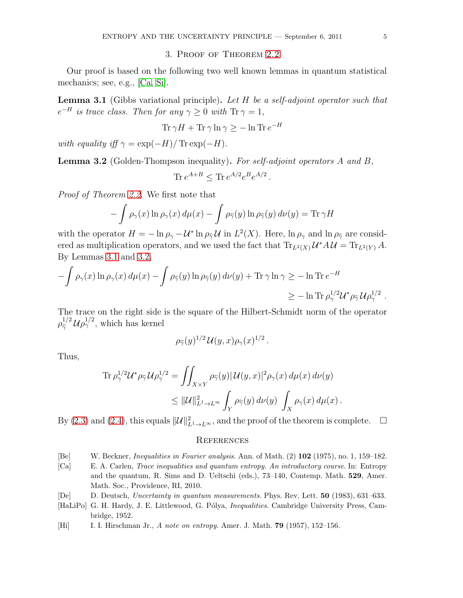# 3. Proof of Theorem [2.2](#page-3-0)

Our proof is based on the following two well known lemmas in quantum statistical mechanics; see, e.g., [\[Ca,](#page-4-4) [Si\]](#page-5-4).

<span id="page-4-5"></span>**Lemma 3.1** (Gibbs variational principle). Let  $H$  be a self-adjoint operator such that  $e^{-H}$  is trace class. Then for any  $\gamma \geq 0$  with  $\text{Tr } \gamma = 1$ ,

$$
\text{Tr}\,\gamma H + \text{Tr}\,\gamma\ln\gamma \ge -\ln\text{Tr}\,e^{-H}
$$

with equality iff  $\gamma = \exp(-H)/\operatorname{Tr} \exp(-H)$ .

<span id="page-4-6"></span>Lemma 3.2 (Golden-Thompson inequality). For self-adjoint operators A and B, Tr  $e^{A+B} \leq$  Tr  $e^{A/2}e^{B}e^{A/2}$ .

Proof of Theorem [2.2.](#page-3-0) We first note that

$$
- \int \rho_{\gamma}(x) \ln \rho_{\gamma}(x) d\mu(x) - \int \rho_{\widehat{\gamma}}(y) \ln \rho_{\widehat{\gamma}}(y) d\nu(y) = \text{Tr } \gamma H
$$

with the operator  $H = -\ln \rho_{\gamma} - \mathcal{U}^* \ln \rho_{\gamma} \mathcal{U}$  in  $L^2(X)$ . Here,  $\ln \rho_{\gamma}$  and  $\ln \rho_{\gamma}$  are considered as multiplication operators, and we used the fact that  $\text{Tr}_{L^2(X)} \mathcal{U}^* A \mathcal{U} = \text{Tr}_{L^2(Y)} A$ . By Lemmas [3.1](#page-4-5) and [3.2,](#page-4-6)

$$
-\int \rho_{\gamma}(x) \ln \rho_{\gamma}(x) d\mu(x) - \int \rho_{\widehat{\gamma}}(y) \ln \rho_{\widehat{\gamma}}(y) d\nu(y) + \text{Tr} \gamma \ln \gamma \ge -\ln \text{Tr} e^{-H}
$$
  

$$
\ge -\ln \text{Tr} \rho_{\gamma}^{1/2} \mathcal{U}^* \rho_{\widehat{\gamma}} \mathcal{U} \rho_{\gamma}^{1/2} .
$$

The trace on the right side is the square of the Hilbert-Schmidt norm of the operator  $\rho_{\widehat{\gamma}}^{1/2} \mathcal{U} \rho_{\gamma}^{1/2}$ , which has kernel

$$
\rho_{\widehat{\gamma}}(y)^{1/2}\,\mathcal{U}(y,x)\rho_{\gamma}(x)^{1/2} \,.
$$

Thus,

$$
\begin{split} \text{Tr}\, \rho_\gamma^{1/2} \mathcal{U}^* \rho_{\widehat{\gamma}} \, \mathcal{U} \rho_\gamma^{1/2} &= \iint_{X \times Y} \rho_{\widehat{\gamma}}(y) |\, \mathcal{U}(y,x)|^2 \rho_\gamma(x) \, d\mu(x) \, d\nu(y) \\ &\leq \|\mathcal{U}\|_{L^1 \to L^\infty}^2 \int_Y \rho_{\widehat{\gamma}}(y) \, d\nu(y) \, \int_X \rho_\gamma(x) \, d\mu(x) \, . \end{split}
$$

By [\(2.3\)](#page-2-1) and [\(2.4\)](#page-2-2), this equals  $\|\mathcal{U}\|_{L^1\to L^{\infty}}^2$ , and the proof of the theorem is complete.  $\Box$ 

#### **REFERENCES**

- <span id="page-4-2"></span>[Be] W. Beckner, Inequalities in Fourier analysis. Ann. of Math. (2) 102 (1975), no. 1, 159–182.
- <span id="page-4-4"></span>[Ca] E. A. Carlen, Trace inequalities and quantum entropy. An introductory course. In: Entropy and the quantum, R. Sims and D. Ueltschi (eds.), 73–140, Contemp. Math. 529, Amer. Math. Soc., Providence, RI, 2010.
- <span id="page-4-0"></span>[De] D. Deutsch, Uncertainty in quantum measurements. Phys. Rev. Lett. 50 (1983), 631–633.
- <span id="page-4-3"></span>[HaLiPo] G. H. Hardy, J. E. Littlewood, G. Pólya, *Inequalities*. Cambridge University Press, Cambridge, 1952.
- <span id="page-4-1"></span>[Hi] I. I. Hirschman Jr., A note on entropy. Amer. J. Math. **79** (1957), 152–156.